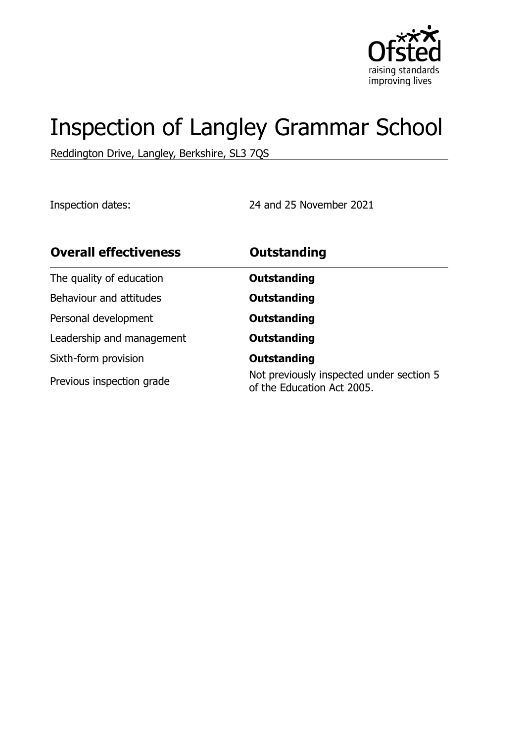

# Inspection of Langley Grammar School

Reddington Drive, Langley, Berkshire, SL3 7QS

Inspection dates: 24 and 25 November 2021

| <b>Overall effectiveness</b> | <b>Outstanding</b>                                                     |
|------------------------------|------------------------------------------------------------------------|
| The quality of education     | <b>Outstanding</b>                                                     |
| Behaviour and attitudes      | <b>Outstanding</b>                                                     |
| Personal development         | <b>Outstanding</b>                                                     |
| Leadership and management    | <b>Outstanding</b>                                                     |
| Sixth-form provision         | <b>Outstanding</b>                                                     |
| Previous inspection grade    | Not previously inspected under section 5<br>of the Education Act 2005. |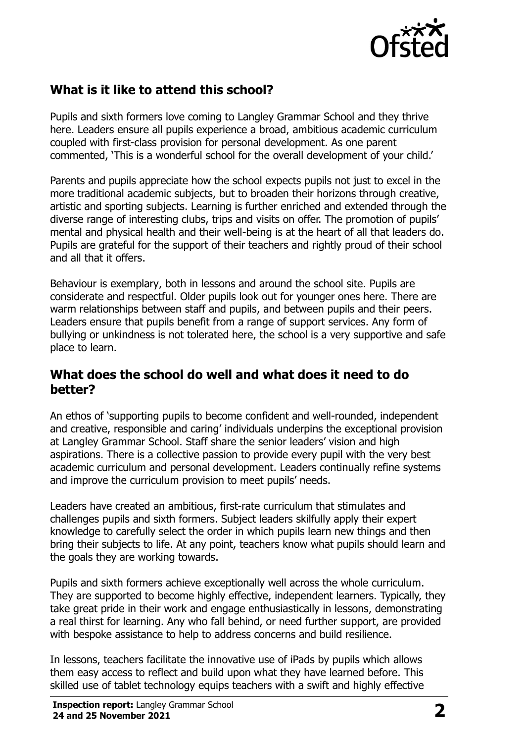

## **What is it like to attend this school?**

Pupils and sixth formers love coming to Langley Grammar School and they thrive here. Leaders ensure all pupils experience a broad, ambitious academic curriculum coupled with first-class provision for personal development. As one parent commented, 'This is a wonderful school for the overall development of your child.'

Parents and pupils appreciate how the school expects pupils not just to excel in the more traditional academic subjects, but to broaden their horizons through creative, artistic and sporting subjects. Learning is further enriched and extended through the diverse range of interesting clubs, trips and visits on offer. The promotion of pupils' mental and physical health and their well-being is at the heart of all that leaders do. Pupils are grateful for the support of their teachers and rightly proud of their school and all that it offers.

Behaviour is exemplary, both in lessons and around the school site. Pupils are considerate and respectful. Older pupils look out for younger ones here. There are warm relationships between staff and pupils, and between pupils and their peers. Leaders ensure that pupils benefit from a range of support services. Any form of bullying or unkindness is not tolerated here, the school is a very supportive and safe place to learn.

#### **What does the school do well and what does it need to do better?**

An ethos of 'supporting pupils to become confident and well-rounded, independent and creative, responsible and caring' individuals underpins the exceptional provision at Langley Grammar School. Staff share the senior leaders' vision and high aspirations. There is a collective passion to provide every pupil with the very best academic curriculum and personal development. Leaders continually refine systems and improve the curriculum provision to meet pupils' needs.

Leaders have created an ambitious, first-rate curriculum that stimulates and challenges pupils and sixth formers. Subject leaders skilfully apply their expert knowledge to carefully select the order in which pupils learn new things and then bring their subjects to life. At any point, teachers know what pupils should learn and the goals they are working towards.

Pupils and sixth formers achieve exceptionally well across the whole curriculum. They are supported to become highly effective, independent learners. Typically, they take great pride in their work and engage enthusiastically in lessons, demonstrating a real thirst for learning. Any who fall behind, or need further support, are provided with bespoke assistance to help to address concerns and build resilience.

In lessons, teachers facilitate the innovative use of iPads by pupils which allows them easy access to reflect and build upon what they have learned before. This skilled use of tablet technology equips teachers with a swift and highly effective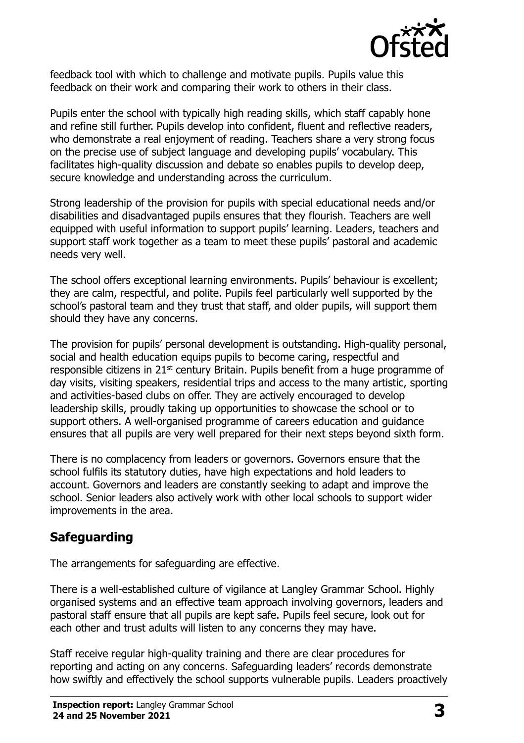

feedback tool with which to challenge and motivate pupils. Pupils value this feedback on their work and comparing their work to others in their class.

Pupils enter the school with typically high reading skills, which staff capably hone and refine still further. Pupils develop into confident, fluent and reflective readers, who demonstrate a real enjoyment of reading. Teachers share a very strong focus on the precise use of subject language and developing pupils' vocabulary. This facilitates high-quality discussion and debate so enables pupils to develop deep, secure knowledge and understanding across the curriculum.

Strong leadership of the provision for pupils with special educational needs and/or disabilities and disadvantaged pupils ensures that they flourish. Teachers are well equipped with useful information to support pupils' learning. Leaders, teachers and support staff work together as a team to meet these pupils' pastoral and academic needs very well.

The school offers exceptional learning environments. Pupils' behaviour is excellent; they are calm, respectful, and polite. Pupils feel particularly well supported by the school's pastoral team and they trust that staff, and older pupils, will support them should they have any concerns.

The provision for pupils' personal development is outstanding. High-quality personal, social and health education equips pupils to become caring, respectful and responsible citizens in 21<sup>st</sup> century Britain. Pupils benefit from a huge programme of day visits, visiting speakers, residential trips and access to the many artistic, sporting and activities-based clubs on offer. They are actively encouraged to develop leadership skills, proudly taking up opportunities to showcase the school or to support others. A well-organised programme of careers education and guidance ensures that all pupils are very well prepared for their next steps beyond sixth form.

There is no complacency from leaders or governors. Governors ensure that the school fulfils its statutory duties, have high expectations and hold leaders to account. Governors and leaders are constantly seeking to adapt and improve the school. Senior leaders also actively work with other local schools to support wider improvements in the area.

## **Safeguarding**

The arrangements for safeguarding are effective.

There is a well-established culture of vigilance at Langley Grammar School. Highly organised systems and an effective team approach involving governors, leaders and pastoral staff ensure that all pupils are kept safe. Pupils feel secure, look out for each other and trust adults will listen to any concerns they may have.

Staff receive regular high-quality training and there are clear procedures for reporting and acting on any concerns. Safeguarding leaders' records demonstrate how swiftly and effectively the school supports vulnerable pupils. Leaders proactively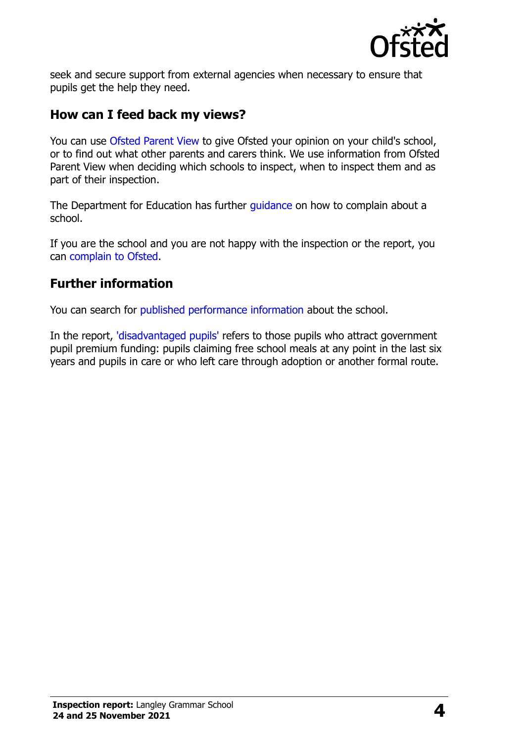

seek and secure support from external agencies when necessary to ensure that pupils get the help they need.

#### **How can I feed back my views?**

You can use [Ofsted Parent View](http://parentview.ofsted.gov.uk/) to give Ofsted your opinion on your child's school, or to find out what other parents and carers think. We use information from Ofsted Parent View when deciding which schools to inspect, when to inspect them and as part of their inspection.

The Department for Education has further *guidance* on how to complain about a school.

If you are the school and you are not happy with the inspection or the report, you can [complain to Ofsted.](http://www.gov.uk/complain-ofsted-report)

#### **Further information**

You can search for [published performance information](http://www.compare-school-performance.service.gov.uk/) about the school.

In the report, ['disadvantaged pupils'](http://www.gov.uk/guidance/pupil-premium-information-for-schools-and-alternative-provision-settings) refers to those pupils who attract government pupil premium funding: pupils claiming free school meals at any point in the last six years and pupils in care or who left care through adoption or another formal route.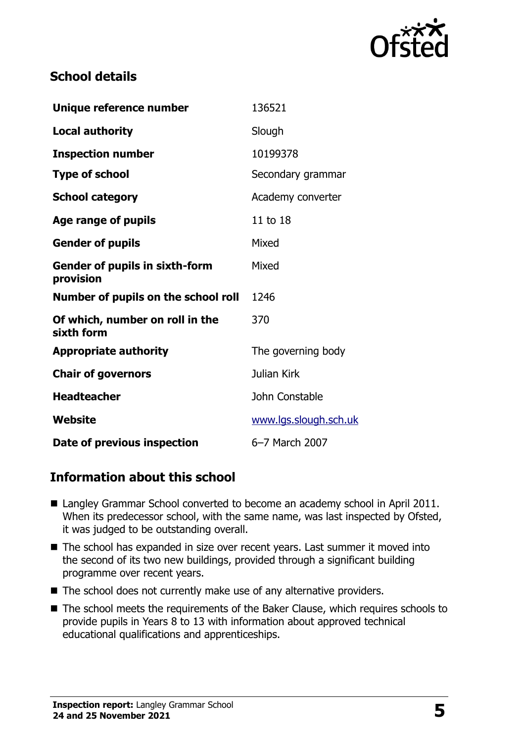

#### **School details**

| Unique reference number                            | 136521                |
|----------------------------------------------------|-----------------------|
| <b>Local authority</b>                             | Slough                |
| <b>Inspection number</b>                           | 10199378              |
| <b>Type of school</b>                              | Secondary grammar     |
| <b>School category</b>                             | Academy converter     |
| Age range of pupils                                | 11 to 18              |
| <b>Gender of pupils</b>                            | Mixed                 |
| <b>Gender of pupils in sixth-form</b><br>provision | Mixed                 |
| Number of pupils on the school roll                | 1246                  |
| Of which, number on roll in the<br>sixth form      | 370                   |
| <b>Appropriate authority</b>                       | The governing body    |
| <b>Chair of governors</b>                          | Julian Kirk           |
| <b>Headteacher</b>                                 | John Constable        |
| Website                                            | www.lgs.slough.sch.uk |
| Date of previous inspection                        | 6-7 March 2007        |

## **Information about this school**

- Langley Grammar School converted to become an academy school in April 2011. When its predecessor school, with the same name, was last inspected by Ofsted, it was judged to be outstanding overall.
- The school has expanded in size over recent years. Last summer it moved into the second of its two new buildings, provided through a significant building programme over recent years.
- The school does not currently make use of any alternative providers.
- The school meets the requirements of the Baker Clause, which requires schools to provide pupils in Years 8 to 13 with information about approved technical educational qualifications and apprenticeships.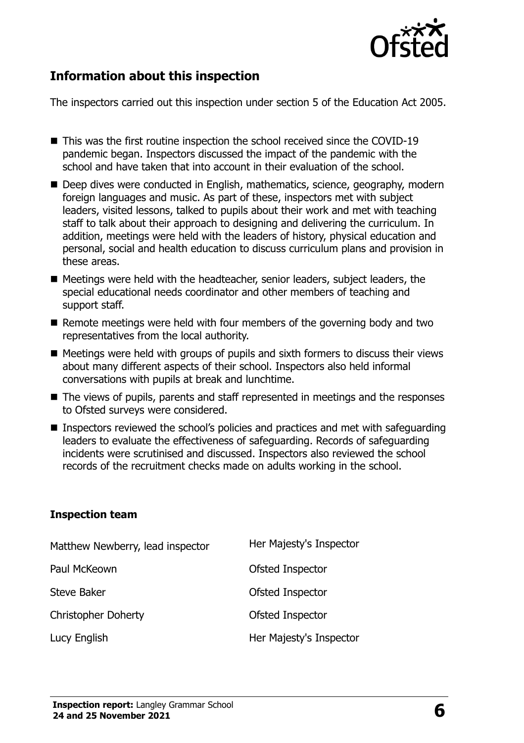

## **Information about this inspection**

The inspectors carried out this inspection under section 5 of the Education Act 2005.

- This was the first routine inspection the school received since the COVID-19 pandemic began. Inspectors discussed the impact of the pandemic with the school and have taken that into account in their evaluation of the school.
- Deep dives were conducted in English, mathematics, science, geography, modern foreign languages and music. As part of these, inspectors met with subject leaders, visited lessons, talked to pupils about their work and met with teaching staff to talk about their approach to designing and delivering the curriculum. In addition, meetings were held with the leaders of history, physical education and personal, social and health education to discuss curriculum plans and provision in these areas.
- Meetings were held with the headteacher, senior leaders, subject leaders, the special educational needs coordinator and other members of teaching and support staff.
- $\blacksquare$  Remote meetings were held with four members of the governing body and two representatives from the local authority.
- $\blacksquare$  Meetings were held with groups of pupils and sixth formers to discuss their views about many different aspects of their school. Inspectors also held informal conversations with pupils at break and lunchtime.
- The views of pupils, parents and staff represented in meetings and the responses to Ofsted surveys were considered.
- Inspectors reviewed the school's policies and practices and met with safeguarding leaders to evaluate the effectiveness of safeguarding. Records of safeguarding incidents were scrutinised and discussed. Inspectors also reviewed the school records of the recruitment checks made on adults working in the school.

#### **Inspection team**

| Matthew Newberry, lead inspector | Her Majesty's Inspector |
|----------------------------------|-------------------------|
| Paul McKeown                     | Ofsted Inspector        |
| Steve Baker                      | Ofsted Inspector        |
| <b>Christopher Doherty</b>       | Ofsted Inspector        |
| Lucy English                     | Her Majesty's Inspector |